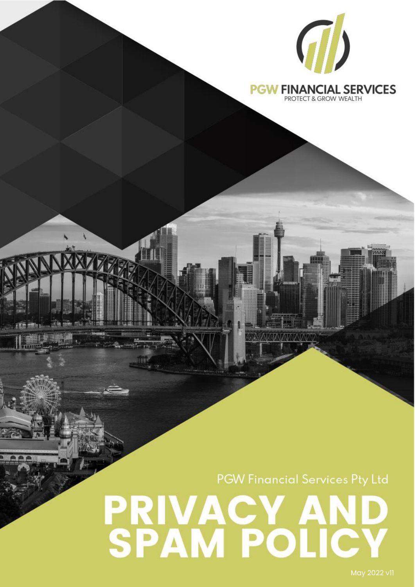

#### **PGW FINANCIAL SERVICES** PROTECT & GROW WEALTH

**PGW Financial Services Pty Ltd** 

# **IVACY AND SAM POLICY**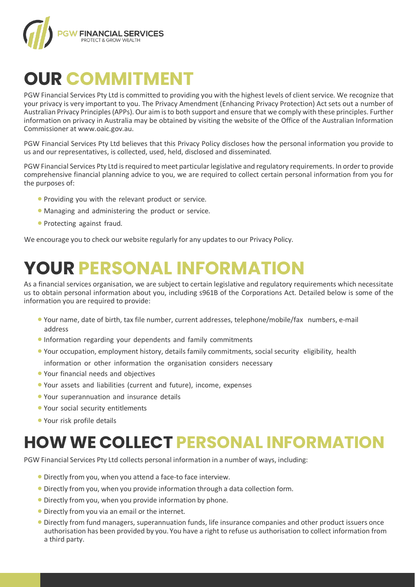

## **OUR COMMITMENT**

PGW Financial Services Pty Ltd is committed to providing you with the highest levels of client service. We recognize that your privacy is very important to you. The Privacy Amendment (Enhancing Privacy Protection) Act sets out a number of Australian Privacy Principles (APPs). Our aim is to both support and ensure that we comply with these principles. Further information on privacy in Australia may be obtained by visiting the website of the Office of the Australian Information Commissioner at [www.oaic.gov.au.](http://www.oaic.gov.au/)

PGW Financial Services Pty Ltd believes that this Privacy Policy discloses how the personal information you provide to us and our representatives, is collected, used, held, disclosed and disseminated.

PGW Financial Services Pty Ltd is required to meet particular legislative and regulatory requirements. In order to provide comprehensive financial planning advice to you, we are required to collect certain personal information from you for the purposes of:

- Providing you with the relevant product or service.
- Managing and administering the product or service.
- Protecting against fraud.

We encourage you to check our website regularly for any updates to our Privacy Policy.

## **YOUR PERSONAL INFORMATION**

As a financial services organisation, we are subject to certain legislative and regulatory requirements which necessitate us to obtain personal information about you, including s961B of the Corporations Act. Detailed below is some of the information you are required to provide:

- Your name, date of birth, tax file number, current addresses, telephone/mobile/fax numbers, e-mail address
- Information regarding your dependents and family commitments
- Your occupation, employment history, details family commitments, social security eligibility, health information or other information the organisation considers necessary
- Your financial needs and objectives
- Your assets and liabilities (current and future), income, expenses
- Your superannuation and insurance details
- Your social security entitlements
- Your risk profile details

#### **HOW WE COLLECT PERSONAL INFORMATION**

PGW Financial Services Pty Ltd collects personal information in a number of ways, including:

- Directly from you, when you attend a face-to face interview.
- Directly from you, when you provide information through a data collection form.
- Directly from you, when you provide information by phone.
- Directly from you via an email or the internet.
- Directly from fund managers, superannuation funds, life insurance companies and other product issuers once authorisation has been provided by you. You have a right to refuse us authorisation to collect information from a third party.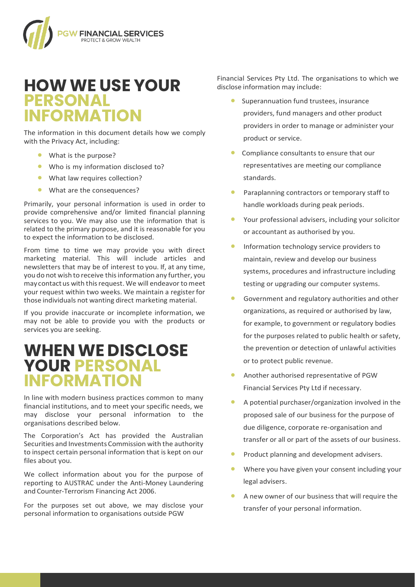

#### **HOW WE USE YOUR PERSONAL INFORMATION**

The information in this document details how we comply with the Privacy Act, including:

- What is the purpose?
- Who is my information disclosed to?
- What law requires collection?
- What are the consequences?

Primarily, your personal information is used in order to provide comprehensive and/or limited financial planning services to you. We may also use the information that is related to the primary purpose, and it is reasonable for you to expect the information to be disclosed.

From time to time we may provide you with direct marketing material. This will include articles and newsletters that may be of interest to you. If, at any time, youdo not wish to receive thisinformation any further, you may contact us with this request. We will endeavor to meet your request within two weeks. We maintain a registerfor those individuals not wanting direct marketing material.

If you provide inaccurate or incomplete information, we may not be able to provide you with the products or services you are seeking.

#### **WHENWE DISCLOSE YOUR PERSONAL INFORMATION**

In line with modern business practices common to many financial institutions, and to meet your specific needs, we may disclose your personal information to the organisations described below.

The Corporation's Act has provided the Australian Securities and Investments Commission with the authority to inspect certain personal information that is kept on our files about you.

We collect information about you for the purpose of reporting to AUSTRAC under the Anti-Money Laundering and Counter-Terrorism Financing Act 2006.

For the purposes set out above, we may disclose your personal information to organisations outside PGW

Financial Services Pty Ltd. The organisations to which we disclose information may include:

- Superannuation fund trustees, insurance providers, fund managers and other product providers in order to manage or administer your product or service.
- Compliance consultants to ensure that our representatives are meeting our compliance standards.
- Paraplanning contractors or temporary staff to handle workloads during peak periods.
- Your professional advisers, including your solicitor or accountant as authorised by you.
- **•** Information technology service providers to maintain, review and develop our business systems, procedures and infrastructure including testing or upgrading our computer systems.
- Government and regulatory authorities and other organizations, as required or authorised by law, for example, to government or regulatory bodies for the purposes related to public health or safety, the prevention or detection of unlawful activities or to protect public revenue.
- Another authorised representative of PGW Financial Services Pty Ltd if necessary.
- A potential purchaser/organization involved in the proposed sale of our business for the purpose of due diligence, corporate re-organisation and transfer or all or part of the assets of our business.
- Product planning and development advisers.
- Where you have given your consent including your legal advisers.
- A new owner of our business that will require the transfer of your personal information.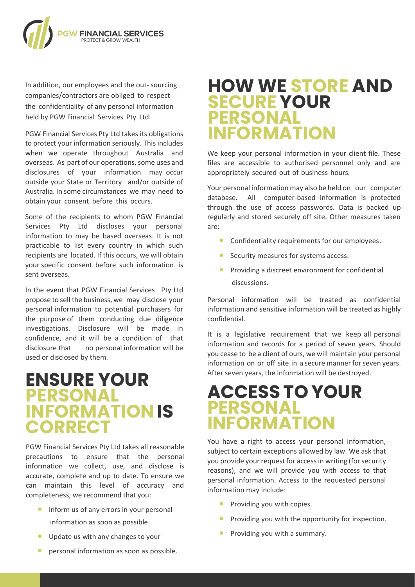

In addition, our employees and the out- sourcing companies/contractors are obliged to respect the confidentiality of any personal information held by PGW Financial Services Pty Ltd.

PGW Financial Services Pty Ltd takes its obligations to protect your information seriously. This includes when we operate throughout Australia and overseas. As part of our operations, some uses and disclosures of your information may occur outside your State or Territory and/or outside of Australia. In some circumstances we may need to obtain your consent before this occurs.

Some of the recipients to whom PGW Financial Services Pty Ltd discloses your personal information to may be based overseas. It is not practicable to list every country in which such recipients are located. If this occurs, we will obtain your specific consent before such information is sent overseas.

In the event that PGW Financial Services Pty Ltd propose to sell the business, we may disclose your personal information to potential purchasers for the purpose of them conducting due diligence investigations. Disclosure will be made in confidence, and it will be a condition of that disclosure that no personal information will be used or disclosed by them.

#### **ENSURE YOUR PERSONAL INFORMATIONIS CORRECT**

PGW Financial Services Pty Ltd takes all reasonable precautions to ensure that the personal information we collect, use, and disclose is accurate, complete and up to date. To ensure we can maintain this level of accuracy and completeness, we recommend that you:

- Inform us of any errors in your personal information as soon as possible.
- Update us with any changes to your
- personal information as soon as possible.

#### **HOW WE STORE AND SECURE YOUR PERSONAL INFORMATION**

We keep your personal information in your client file. These files are accessible to authorised personnel only and are appropriately secured out of business hours.

Your personal information may also be held on our computer database. All computer-based information is protected through the use of access passwords. Data is backed up regularly and stored securely off site. Other measures taken are:

- Confidentiality requirements for our employees.
- Security measures for systems access.
- Providing a discreet environment for confidential discussions.

Personal information will be treated as confidential information and sensitive information will be treated as highly confidential.

It is a legislative requirement that we keep all personal information and records for a period of seven years. Should you cease to be a client of ours, we will maintain your personal information on or off site in a secure manner for seven years. After seven years, the information will be destroyed.

#### **ACCESS TO YOUR PERSONAL INFORMATION**

You have a right to access your personal information, subject to certain exceptions allowed by law. We ask that you provide your request for access in writing (for security reasons), and we will provide you with access to that personal information. Access to the requested personal information may include:

- **•** Providing you with copies.
- Providing you with the opportunity for inspection.
- Providing you with a summary.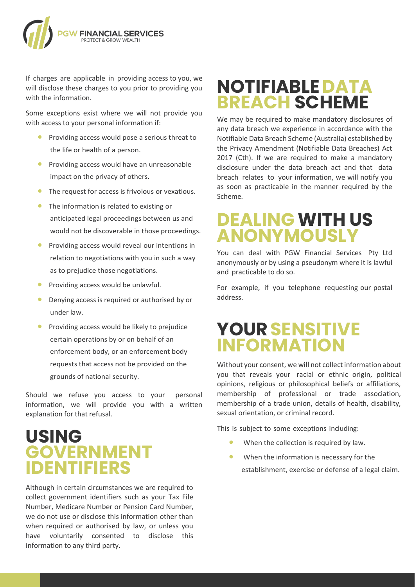

If charges are applicable in providing access to you, we will disclose these charges to you prior to providing you with the information.

Some exceptions exist where we will not provide you with access to your personal information if:

- Providing access would pose a serious threat to the life or health of a person.
- Providing access would have an unreasonable impact on the privacy of others.
- The request for access is frivolous or vexatious.
- The information is related to existing or anticipated legal proceedings between us and would not be discoverable in those proceedings.
- Providing access would reveal our intentions in relation to negotiations with you in such a way as to prejudice those negotiations.
- Providing access would be unlawful.
- Denying access is required or authorised by or under law.
- Providing access would be likely to prejudice certain operations by or on behalf of an enforcement body, or an enforcement body requests that access not be provided on the grounds of national security.

Should we refuse you access to your personal information, we will provide you with a written explanation for that refusal.

#### **USING GOVERNMENT IDENTIFIERS**

Although in certain circumstances we are required to collect government identifiers such as your Tax File Number, Medicare Number or Pension Card Number, we do not use or disclose this information other than when required or authorised by law, or unless you have voluntarily consented to disclose this information to any third party.

## **NOTIFIABLEDATA BREACH SCHEME**

We may be required to make mandatory disclosures of any data breach we experience in accordance with the Notifiable Data Breach Scheme (Australia) established by the Privacy Amendment (Notifiable Data Breaches) Act 2017 (Cth). If we are required to make a mandatory disclosure under the data breach act and that data breach relates to your information, we will notify you as soon as practicable in the manner required by the Scheme.

#### **DEALING WITH US ANONYMOUSLY**

You can deal with PGW Financial Services Pty Ltd anonymously or by using a pseudonym where it is lawful and practicable to do so.

For example, if you telephone requesting our postal address.

#### **YOURSENSITIVE INFORMATION**

Without your consent, we will not collect information about you that reveals your racial or ethnic origin, political opinions, religious or philosophical beliefs or affiliations, membership of professional or trade association, membership of a trade union, details of health, disability, sexual orientation, or criminal record.

This is subject to some exceptions including:

- When the collection is required by law.
- When the information is necessary for the establishment, exercise or defense of a legal claim.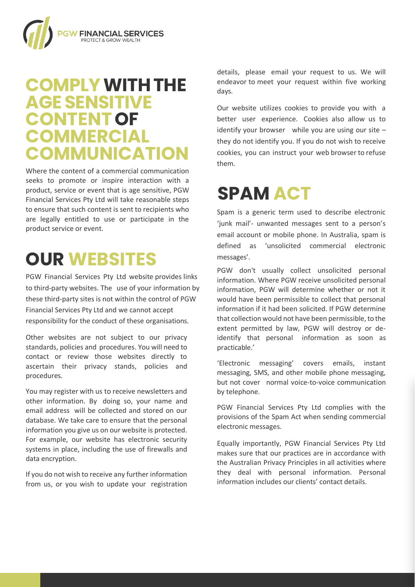

#### **COMPLYWITHTHE AGESENSITIVE CONTENTOF COMMERCIAL COMMUNICATION**

Where the content of a commercial communication seeks to promote or inspire interaction with a product, service or event that is age sensitive, PGW Financial Services Pty Ltd will take reasonable steps to ensure that such content is sent to recipients who are legally entitled to use or participate in the product service or event.

## **OUR WEBSITES**

PGW Financial Services Pty Ltd website provides links to third-party websites. The use of your information by these third-party sites is not within the control of PGW Financial Services Pty Ltd and we cannot accept responsibility for the conduct of these organisations.

Other websites are not subject to our privacy standards, policies and procedures. You will need to contact or review those websites directly to ascertain their privacy stands, policies and procedures.

You may register with us to receive newsletters and other information. By doing so, your name and email address will be collected and stored on our database. We take care to ensure that the personal information you give us on our website is protected. For example, our website has electronic security systems in place, including the use of firewalls and data encryption.

If you do not wish to receive any further information from us, or you wish to update your registration details, please email your request to us. We will endeavor to meet your request within five working days.

Our website utilizes cookies to provide you with a better user experience. Cookies also allow us to identify your browser while you are using our site  $$ they do not identify you. If you do not wish to receive cookies, you can instruct your web browser to refuse them.

## **SPAM ACT**

Spam is a generic term used to describe electronic 'junk mail'- unwanted messages sent to a person's email account or mobile phone. In Australia, spam is defined as 'unsolicited commercial electronic messages'. subject to our privacy of the

PGW don't usually collect unsolicited personal information. Where PGW receive unsolicited personal information, PGW will determine whether or not it missimation, i.e.d. in accommissible to collect that personal information if it had been solicited. If PGW determine that collection would not have been permissible, to the extent permitted by law, PGW will destroy or deidentify that personal information as soon as practicable.'

'Electronic messaging' covers emails, instant messaging, SMS, and other mobile phone messaging, messaging, only and other messaging prioris incessiging, by telephone.<br>by telephone. messaging' care to ensure the theorem

PGW Financial Services Pty Ltd complies with the provisions of the Spam Act when sending commercial electronic messages.

Equally importantly, PGW Financial Services Pty Ltd makes sure that our practices are in accordance with the Australian Privacy Principles in all activities where they deal with personal information. Personal information includes our clients' contact details.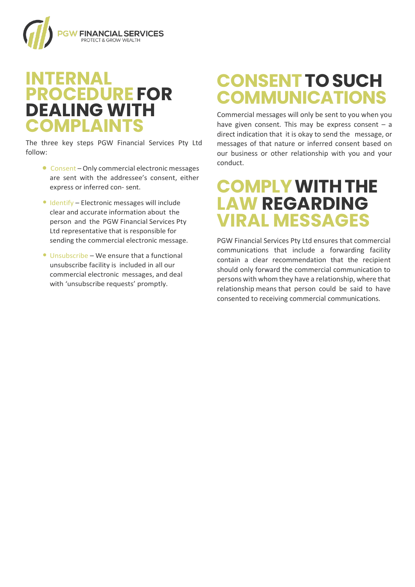

#### **INTERNAL PROCEDURE FOR DEALING WITH COMPLAINTS**

The three key steps PGW Financial Services Pty Ltd follow:

- Consent Only commercial electronic messages are sent with the addressee's consent, either express or inferred con- sent.
- Identify Electronic messages will include clear and accurate information about the person and the PGW Financial Services Pty Ltd representative that is responsible for sending the commercial electronic message.
- Unsubscribe We ensure that a functional unsubscribe facility is included in all our commercial electronic messages, and deal with 'unsubscribe requests' promptly.

## **CONSENTTOSUCH COMMUNICATIONS**

Commercial messages will only be sent to you when you have given consent. This may be express consent  $-$  a direct indication that it is okay to send the message, or messages of that nature or inferred consent based on our business or other relationship with you and your conduct.

## **COMPLYWITHTHE LAW REGARDING VIRAL MESSAGES**

PGW Financial Services Pty Ltd ensures that commercial communications that include a forwarding facility contain a clear recommendation that the recipient should only forward the commercial communication to persons with whom they have a relationship, where that relationship means that person could be said to have consented to receiving commercial communications.